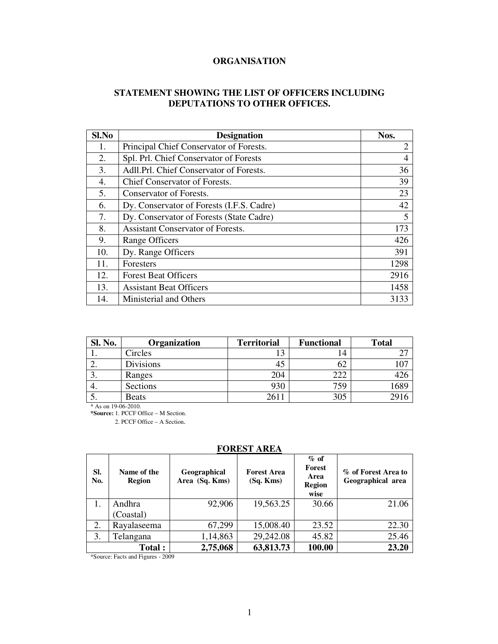# **ORGANISATION**

# **STATEMENT SHOWING THE LIST OF OFFICERS INCLUDING DEPUTATIONS TO OTHER OFFICES.**

| Sl.No | <b>Designation</b>                        | Nos.           |
|-------|-------------------------------------------|----------------|
| 1.    | Principal Chief Conservator of Forests.   | $\overline{2}$ |
| 2.    | Spl. Prl. Chief Conservator of Forests    | 4              |
| 3.    | Adll.Prl. Chief Conservator of Forests.   | 36             |
| 4.    | Chief Conservator of Forests.             | 39             |
| 5.    | Conservator of Forests.                   | 23             |
| 6.    | Dy. Conservator of Forests (I.F.S. Cadre) | 42             |
| 7.    | Dy. Conservator of Forests (State Cadre)  | 5              |
| 8.    | <b>Assistant Conservator of Forests.</b>  | 173            |
| 9.    | Range Officers                            | 426            |
| 10.   | Dy. Range Officers                        | 391            |
| 11.   | <b>Foresters</b>                          | 1298           |
| 12.   | <b>Forest Beat Officers</b>               | 2916           |
| 13.   | <b>Assistant Beat Officers</b>            | 1458           |
| 14.   | Ministerial and Others                    | 3133           |

| Sl. No. | Organization | <b>Territorial</b> | <b>Functional</b> | <b>Total</b> |
|---------|--------------|--------------------|-------------------|--------------|
|         | Circles      |                    | 14                |              |
| ۷.      | Divisions    | 45                 | 62                |              |
| J.      | Ranges       | 204                | 222               | 42C          |
| 4.      | Sections     | 930                | 759               | 1689         |
|         | <b>Beats</b> | 2611               | 305               | 29           |

\* As on 19-06-2010.

**\*Source:** 1. PCCF Office – M Section. 2. PCCF Office – A Section.

# **FOREST AREA**

| SI.<br>No. | Name of the<br>Region | Geographical<br>Area (Sq. Kms) | <b>Forest Area</b><br>(Sq. Kms) | $\%$ of<br>Forest<br>Area<br><b>Region</b><br>wise | % of Forest Area to<br>Geographical area |  |
|------------|-----------------------|--------------------------------|---------------------------------|----------------------------------------------------|------------------------------------------|--|
| 1.         | Andhra                | 92,906                         | 19,563.25                       | 30.66                                              | 21.06                                    |  |
|            | (Coastal)             |                                |                                 |                                                    |                                          |  |
| 2.         | Rayalaseema           | 67,299                         | 15,008.40                       | 23.52                                              | 22.30                                    |  |
| 3.         | Telangana             | 1,14,863                       | 29,242.08                       | 45.82                                              | 25.46                                    |  |
|            | Total:                | 2,75,068                       | 63,813.73                       | 100.00                                             | 23.20                                    |  |

\*Source: Facts and Figures - 2009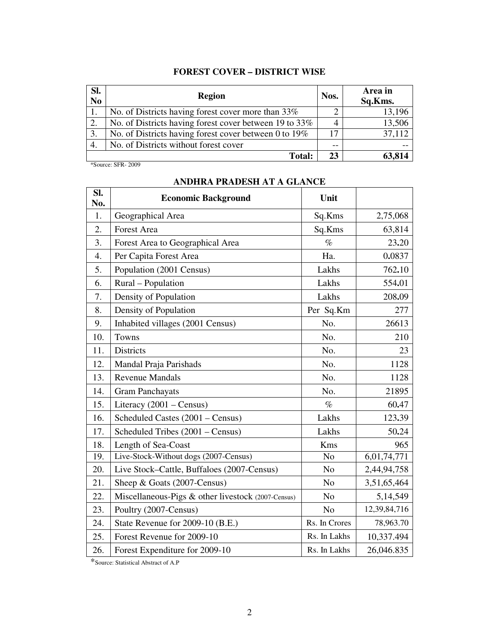# **FOREST COVER – DISTRICT WISE**

| SI.<br>$\overline{\text{No}}$ | <b>Region</b>                                          | Nos.  | Area in<br>Sq.Kms. |
|-------------------------------|--------------------------------------------------------|-------|--------------------|
|                               | No. of Districts having forest cover more than 33%     |       | 13,196             |
| 2.                            | No. of Districts having forest cover between 19 to 33% |       | 13,506             |
| 3.                            | No. of Districts having forest cover between 0 to 19%  | 17    | 37,112             |
| 4.                            | No. of Districts without forest cover                  | $- -$ |                    |
|                               | <b>Total:</b>                                          | 23    | 63,814             |

\*Source: SFR- 2009

| SI.<br>No. | <b>Economic Background</b>                         | Unit           |              |
|------------|----------------------------------------------------|----------------|--------------|
| 1.         | Geographical Area                                  | Sq.Kms         | 2,75,068     |
| 2.         | <b>Forest Area</b>                                 | Sq.Kms         | 63,814       |
| 3.         | Forest Area to Geographical Area                   | $\%$           | 23.20        |
| 4.         | Per Capita Forest Area                             | Ha.            | 0.0837       |
| 5.         | Population (2001 Census)                           | Lakhs          | 762.10       |
| 6.         | Rural - Population                                 | Lakhs          | 554.01       |
| 7.         | Density of Population                              | Lakhs          | 208.09       |
| 8.         | Density of Population                              | Per Sq.Km      | 277          |
| 9.         | Inhabited villages (2001 Census)                   | No.            | 26613        |
| 10.        | Towns                                              | No.            | 210          |
| 11.        | <b>Districts</b>                                   | No.            | 23           |
| 12.        | Mandal Praja Parishads                             | No.            | 1128         |
| 13.        | <b>Revenue Mandals</b>                             | No.            | 1128         |
| 14.        | <b>Gram Panchayats</b>                             | No.            | 21895        |
| 15.        | Literacy $(2001 - Census)$                         | $\%$           | 60.47        |
| 16.        | Scheduled Castes (2001 – Census)                   | Lakhs          | 123.39       |
| 17.        | Scheduled Tribes (2001 – Census)                   | Lakhs          | 50.24        |
| 18.        | Length of Sea-Coast                                | Kms            | 965          |
| 19.        | Live-Stock-Without dogs (2007-Census)              | N <sub>o</sub> | 6,01,74,771  |
| 20.        | Live Stock-Cattle, Buffaloes (2007-Census)         | N <sub>o</sub> | 2,44,94,758  |
| 21.        | Sheep & Goats (2007-Census)                        | N <sub>o</sub> | 3,51,65,464  |
| 22.        | Miscellaneous-Pigs & other livestock (2007-Census) | N <sub>o</sub> | 5,14,549     |
| 23.        | Poultry (2007-Census)                              | N <sub>o</sub> | 12,39,84,716 |
| 24.        | State Revenue for 2009-10 (B.E.)                   | Rs. In Crores  | 78,963.70    |
| 25.        | Forest Revenue for 2009-10                         | Rs. In Lakhs   | 10,337.494   |
| 26.        | Forest Expenditure for 2009-10                     | Rs. In Lakhs   | 26,046.835   |

# **ANDHRA PRADESH AT A GLANCE**

\*Source: Statistical Abstract of A.P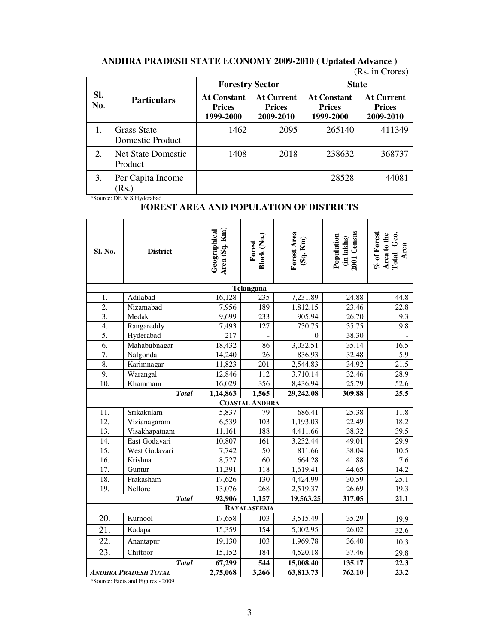|            |                                        | <b>Forestry Sector</b>                           |                                                 | <b>State</b>                                     |                                                 |  |
|------------|----------------------------------------|--------------------------------------------------|-------------------------------------------------|--------------------------------------------------|-------------------------------------------------|--|
| SI.<br>No. | <b>Particulars</b>                     | <b>At Constant</b><br><b>Prices</b><br>1999-2000 | <b>At Current</b><br><b>Prices</b><br>2009-2010 | <b>At Constant</b><br><b>Prices</b><br>1999-2000 | <b>At Current</b><br><b>Prices</b><br>2009-2010 |  |
|            | <b>Grass State</b><br>Domestic Product | 1462                                             | 2095                                            | 265140                                           | 411349                                          |  |
| 2.         | <b>Net State Domestic</b><br>Product   | 1408                                             | 2018                                            | 238632                                           | 368737                                          |  |
| 3.         | Per Capita Income<br>(Rs.)             |                                                  |                                                 | 28528                                            | 44081                                           |  |

# **ANDHRA PRADESH STATE ECONOMY 2009-2010 ( Updated Advance )**

(Rs. in Crores)

\*Source: DE & S Hyderabad

# **FOREST AREA AND POPULATION OF DISTRICTS**

| Sl. No.           | <b>District</b>             | Area (Sq. Km)<br>Geographical | Block (No.)<br>Forest | Forest Area<br>(Sq. Km) | 2001 Census<br>Population<br>(in lakhs) | % of Forest<br>Area to the<br>Total Geo.<br>Area |
|-------------------|-----------------------------|-------------------------------|-----------------------|-------------------------|-----------------------------------------|--------------------------------------------------|
|                   |                             |                               | Telangana             |                         |                                         |                                                  |
| 1.                | Adilabad                    | 16,128                        | 235                   | 7,231.89                | 24.88                                   | 44.8                                             |
| $\overline{2}$ .  | Nizamabad                   | 7,956                         | 189                   | 1,812.15                | 23.46                                   | 22.8                                             |
| $\overline{3}$ .  | Medak                       | 9,699                         | 233                   | 905.94                  | 26.70                                   | 9.3                                              |
| 4.                | Rangareddy                  | 7,493                         | $\overline{127}$      | 730.75                  | 35.75                                   | $\overline{9.8}$                                 |
| 5.                | Hyderabad                   | 217                           |                       | $\theta$                | 38.30                                   |                                                  |
| 6.                | Mahabubnagar                | 18,432                        | 86                    | 3,032.51                | 35.14                                   | 16.5                                             |
| 7.                | Nalgonda                    | 14,240                        | 26                    | 836.93                  | 32.48                                   | 5.9                                              |
| 8.                | Karimnagar                  | 11,823                        | $\overline{201}$      | 2,544.83                | 34.92                                   | $\overline{21.5}$                                |
| 9.                | Warangal                    | 12,846                        | 112                   | 3,710.14                | 32.46                                   | 28.9                                             |
| 10.               | Khammam                     | 16,029                        | 356                   | 8,436.94                | 25.79                                   | 52.6                                             |
|                   | <b>Total</b>                | 1,14,863                      | 1,565                 | 29,242.08               | 309.88                                  | 25.5                                             |
|                   |                             |                               | <b>COASTAL ANDHRA</b> |                         |                                         |                                                  |
| 11.               | Srikakulam                  | 5,837                         | 79                    | 686.41                  | 25.38                                   | 11.8                                             |
| 12.               | Vizianagaram                | 6,539                         | 103                   | 1,193.03                | 22.49                                   | 18.2                                             |
| $\overline{13}$ . | Visakhapatnam               | 11,161                        | 188                   | 4,411.66                | 38.32                                   | 39.5                                             |
| 14.               | East Godavari               | 10,807                        | 161                   | 3,232.44                | 49.01                                   | 29.9                                             |
| $\overline{15}$ . | West Godavari               | 7,742                         | $\overline{50}$       | 811.66                  | 38.04                                   | 10.5                                             |
| 16.               | Krishna                     | 8,727                         | 60                    | 664.28                  | 41.88                                   | 7.6                                              |
| 17.               | Guntur                      | 11,391                        | 118                   | 1,619.41                | 44.65                                   | 14.2                                             |
| 18.               | Prakasham                   | 17,626                        | 130                   | 4,424.99                | 30.59                                   | 25.1                                             |
| 19.               | Nellore                     | 13,076                        | 268                   | 2,519.37                | 26.69                                   | 19.3                                             |
|                   | <b>Total</b>                | 92,906                        | 1,157                 | 19,563.25               | 317.05                                  | 21.1                                             |
|                   |                             |                               | <b>RAYALASEEMA</b>    |                         |                                         |                                                  |
| 20.               | Kurnool                     | 17,658                        | 103                   | 3,515.49                | 35.29                                   | 19.9                                             |
| 21.               | Kadapa                      | 15,359                        | 154                   | 5,002.95                | 26.02                                   | 32.6                                             |
| 22.               | Anantapur                   | 19,130                        | 103                   | 1,969.78                | 36.40                                   | 10.3                                             |
| 23.               | Chittoor                    | 15,152                        | 184                   | 4,520.18                | 37.46                                   | 29.8                                             |
|                   | <b>Total</b>                | 67,299                        | 544                   | 15,008.40               | 135.17                                  | 22.3                                             |
|                   | <b>ANDHRA PRADESH TOTAL</b> | 2,75,068                      | 3,266                 | 63,813.73               | 762.10                                  | 23.2                                             |

\*Source: Facts and Figures - 2009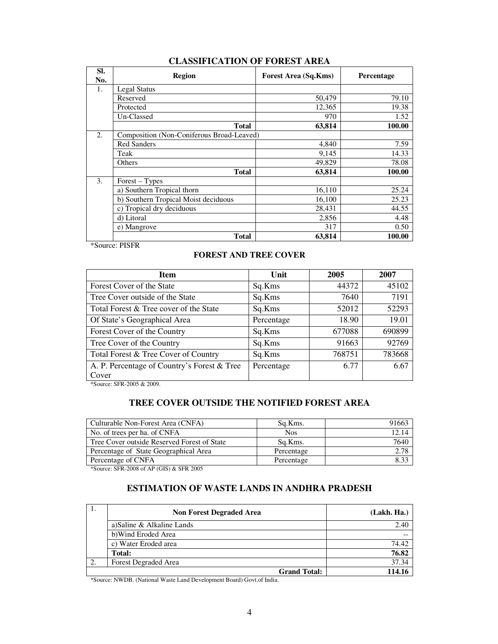| SI.<br>No.       | <b>Region</b>                             | Forest Area (Sq.Kms) | Percentage |
|------------------|-------------------------------------------|----------------------|------------|
| 1.               | Legal Status                              |                      |            |
|                  | Reserved                                  | 50,479               | 79.10      |
|                  | Protected                                 | 12,365               | 19.38      |
|                  | Un-Classed                                | 970                  | 1.52       |
|                  | <b>Total</b>                              | 63,814               | 100.00     |
| $\overline{2}$ . | Composition (Non-Coniferous Broad-Leaved) |                      |            |
|                  | <b>Red Sanders</b>                        | 4,840                | 7.59       |
|                  | Teak                                      | 9,145                | 14.33      |
|                  | Others                                    | 49,829               | 78.08      |
|                  | <b>Total</b>                              | 63.814               | 100.00     |
| 3.               | $Forest - Types$                          |                      |            |
|                  | a) Southern Tropical thorn                | 16,110               | 25.24      |
|                  | b) Southern Tropical Moist deciduous      | 16,100               | 25.23      |
|                  | c) Tropical dry deciduous                 | 28,431               | 44.55      |
|                  | d) Litoral                                | 2,856                | 4.48       |
|                  | e) Mangrove                               | 317                  | 0.50       |
|                  | <b>Total</b>                              | 63,814               | 100.00     |

## **CLASSIFICATION OF FOREST AREA**

\*Source: PISFR

## **FOREST AND TREE COVER**

| <b>Item</b>                                 | Unit       | 2005   | 2007   |
|---------------------------------------------|------------|--------|--------|
| Forest Cover of the State                   | Sq.Kms     | 44372  | 45102  |
| Tree Cover outside of the State             | Sq.Kms     | 7640   | 7191   |
| Total Forest & Tree cover of the State      | Sq.Kms     | 52012  | 52293  |
| Of State's Geographical Area                | Percentage | 18.90  | 19.01  |
| Forest Cover of the Country                 | Sq.Kms     | 677088 | 690899 |
| Tree Cover of the Country                   | Sq.Kms     | 91663  | 92769  |
| Total Forest & Tree Cover of Country        | Sq.Kms     | 768751 | 783668 |
| A. P. Percentage of Country's Forest & Tree | Percentage | 6.77   | 6.67   |
| Cover                                       |            |        |        |

\*Source: SFR-2005 & 2009.

# **TREE COVER OUTSIDE THE NOTIFIED FOREST AREA**

| Culturable Non-Forest Area (CNFA)           | Sq.Kms.    | 91663 |
|---------------------------------------------|------------|-------|
| No. of trees per ha. of CNFA                | <b>Nos</b> | 12.14 |
| Tree Cover outside Reserved Forest of State | Sq.Kms.    | 7640  |
| Percentage of State Geographical Area       | Percentage | 2.78  |
| Percentage of CNFA                          | Percentage | 8.33  |

\*Source: SFR-2008 of AP (GIS) & SFR 2005

# **ESTIMATION OF WASTE LANDS IN ANDHRA PRADESH**

| <b>Non Forest Degraded Area</b> | (Lakh. Ha.) |
|---------------------------------|-------------|
| a) Saline & Alkaline Lands      | 2.40        |
| b) Wind Eroded Area             |             |
| c) Water Eroded area            | 74.42       |
| Total:                          | 76.82       |
| <b>Forest Degraded Area</b>     | 37.34       |
| <b>Grand Total:</b>             | 114.16      |

\*Source: NWDB. (National Waste Land Development Board) Govt.of India.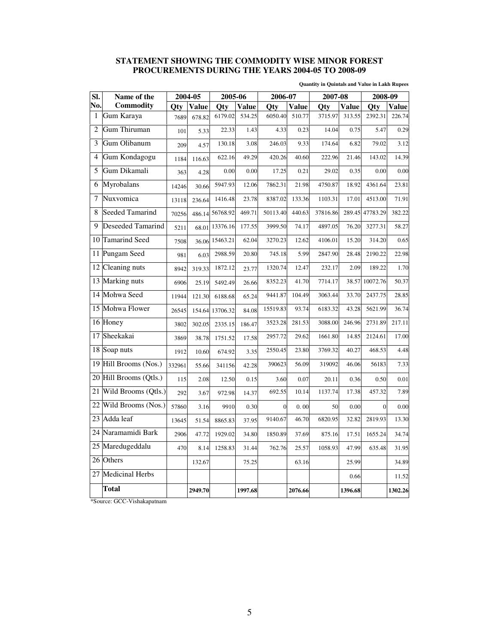## **STATEMENT SHOWING THE COMMODITY WISE MINOR FOREST PROCUREMENTS DURING THE YEARS 2004-05 TO 2008-09**

**Quantity in Quintals and Value in Lakh Rupees** 

| SI.            | Name of the              | 2004-05 |              | 2005-06  |              | 2006-07        |              | 2007-08  |              | 2008-09  |              |
|----------------|--------------------------|---------|--------------|----------|--------------|----------------|--------------|----------|--------------|----------|--------------|
| No.            | Commodity                | Otv     | <b>Value</b> | Qty      | <b>Value</b> | Qty            | <b>Value</b> | Qty      | <b>Value</b> | Qty      | <b>Value</b> |
| 1              | Gum Karaya               | 7689    | 678.82       | 6179.02  | 534.25       | 6050.40        | 510.77       | 3715.97  | 313.55       | 2392.31  | 226.74       |
| $\overline{2}$ | Gum Thiruman             | 101     | 5.33         | 22.33    | 1.43         | 4.33           | 0.23         | 14.04    | 0.75         | 5.47     | 0.29         |
| 3              | Gum Olibanum             | 209     | 4.57         | 130.18   | 3.08         | 246.03         | 9.33         | 174.64   | 6.82         | 79.02    | 3.12         |
| 4              | Gum Kondagogu            | 1184    | 116.63       | 622.16   | 49.29        | 420.26         | 40.60        | 222.96   | 21.46        | 143.02   | 14.39        |
| 5              | Gum Dikamali             | 363     | 4.28         | 0.00     | 0.00         | 17.25          | 0.21         | 29.02    | 0.35         | 0.00     | 0.00         |
| 6              | Myrobalans               | 14246   | 30.66        | 5947.93  | 12.06        | 7862.31        | 21.98        | 4750.87  | 18.92        | 4361.64  | 23.81        |
| 7              | Nuxvomica                | 13118   | 236.64       | 1416.48  | 23.78        | 8387.02        | 133.36       | 1103.31  | 17.01        | 4513.00  | 71.91        |
| 8              | Seeded Tamarind          | 70256   | 486.14       | 56768.92 | 469.71       | 50113.40       | 440.63       | 37816.86 | 289.45       | 47783.29 | 382.22       |
| 9              | <b>Deseeded Tamarind</b> | 5211    | 68.01        | 13376.16 | 177.55       | 3999.50        | 74.17        | 4897.05  | 76.20        | 3277.31  | 58.27        |
| 10             | Tamarind Seed            | 7508    | 36.06        | 15463.21 | 62.04        | 3270.23        | 12.62        | 4106.01  | 15.20        | 314.20   | 0.65         |
| 11             | Pungam Seed              | 981     | 6.03         | 2988.59  | 20.80        | 745.18         | 5.99         | 2847.90  | 28.48        | 2190.22  | 22.98        |
| 12             | Cleaning nuts            | 8942    | 319.33       | 1872.12  | 23.77        | 1320.74        | 12.47        | 232.17   | 2.09         | 189.22   | 1.70         |
| 13             | Marking nuts             | 6906    | 25.19        | 5492.49  | 26.66        | 8352.23        | 41.70        | 7714.17  | 38.57        | 10072.76 | 50.37        |
| 14             | Mohwa Seed               | 11944   | 121.30       | 6188.68  | 65.24        | 9441.87        | 104.49       | 3063.44  | 33.70        | 2437.75  | 28.85        |
| 15             | Mohwa Flower             | 26545   | 154.64       | 13706.32 | 84.08        | 15519.83       | 93.74        | 6183.32  | 43.28        | 5621.99  | 36.74        |
| 16             | Honey                    | 3802    | 302.05       | 2335.15  | 186.47       | 3523.28        | 281.53       | 3088.00  | 246.96       | 2731.89  | 217.11       |
| 17             | Sheekakai                | 3869    | 38.78        | 1751.52  | 17.58        | 2957.72        | 29.62        | 1661.80  | 14.85        | 2124.61  | 17.00        |
| 18             | Soap nuts                | 1912    | 10.60        | 674.92   | 3.35         | 2550.45        | 23.80        | 3769.32  | 40.27        | 468.53   | 4.48         |
| 19             | Hill Brooms (Nos.)       | 332961  | 55.66        | 341156   | 42.28        | 390623         | 56.09        | 319092   | 46.06        | 56183    | 7.33         |
| 20             | Hill Brooms (Qtls.)      | 115     | 2.08         | 12.50    | 0.15         | 3.60           | 0.07         | 20.11    | 0.36         | 0.50     | 0.01         |
| 21             | Wild Brooms (Qtls.)      | 292     | 3.67         | 972.98   | 14.37        | 692.55         | 10.14        | 1137.74  | 17.38        | 457.32   | 7.89         |
| 22             | Wild Brooms (Nos.)       | 57860   | 3.16         | 9910     | 0.30         | $\overline{0}$ | 0.00         | 50       | 0.00         | $\Omega$ | 0.00         |
| 23             | Adda leaf                | 13645   | 51.54        | 8865.83  | 37.95        | 9140.67        | 46.70        | 6820.95  | 32.82        | 2819.93  | 13.30        |
|                | 24 Naramamidi Bark       | 2906    | 47.72        | 1929.02  | 34.80        | 1850.89        | 37.69        | 875.16   | 17.51        | 1655.24  | 34.74        |
| 25             | Maredugeddalu            | 470     | 8.14         | 1258.83  | 31.44        | 762.76         | 25.57        | 1058.93  | 47.99        | 635.48   | 31.95        |
| 26             | Others                   |         | 132.67       |          | 75.25        |                | 63.16        |          | 25.99        |          | 34.89        |
| 27             | <b>Medicinal Herbs</b>   |         |              |          |              |                |              |          | 0.66         |          | 11.52        |
|                | Total                    |         | 2949.70      |          | 1997.68      |                | 2076.66      |          | 1396.68      |          | 1302.26      |

\*Source: GCC-Vishakapatnam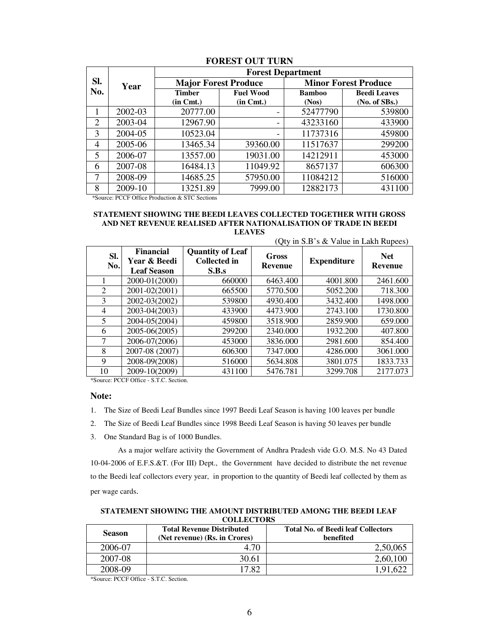|                |         | <b>Forest Department</b>          |                             |                             |                     |  |
|----------------|---------|-----------------------------------|-----------------------------|-----------------------------|---------------------|--|
| Sl.            | Year    |                                   | <b>Major Forest Produce</b> | <b>Minor Forest Produce</b> |                     |  |
| No.            |         | <b>Timber</b><br><b>Fuel Wood</b> |                             | <b>Bamboo</b>               | <b>Beedi Leaves</b> |  |
|                |         | $(in \, Cmt.)$                    | $(in \, Cmt.)$              | (Nos)                       | (No. of SBs.)       |  |
|                | 2002-03 | 20777.00                          |                             | 52477790                    | 539800              |  |
| 2              | 2003-04 | 12967.90                          |                             | 43233160                    | 433900              |  |
| 3              | 2004-05 | 10523.04                          |                             | 11737316                    | 459800              |  |
| $\overline{4}$ | 2005-06 | 13465.34                          | 39360.00                    | 11517637                    | 299200              |  |
| 5              | 2006-07 | 13557.00                          | 19031.00                    | 14212911                    | 453000              |  |
| 6              | 2007-08 | 16484.13                          | 11049.92                    | 8657137                     | 606300              |  |
| 7              | 2008-09 | 14685.25                          | 57950.00                    | 11084212                    | 516000              |  |
| 8              | 2009-10 | 13251.89                          | 7999.00                     | 12882173                    | 431100              |  |

#### **FOREST OUT TURN**

\*Source: PCCF Office Production & STC Sections

#### **STATEMENT SHOWING THE BEEDI LEAVES COLLECTED TOGETHER WITH GROSS AND NET REVENUE REALISED AFTER NATIONALISATION OF TRADE IN BEEDI LEAVES**

 $(Q_{\text{tv}}$  in  $\mathbb{C} \mathbb{D}^3$  & Value in Lakh Pupees)

|            |                                                        |                                                         | $Q(y)$ in S.D s $\alpha$ value in Lakii Rupees) |                    |                       |  |
|------------|--------------------------------------------------------|---------------------------------------------------------|-------------------------------------------------|--------------------|-----------------------|--|
| Sl.<br>No. | <b>Financial</b><br>Year & Beedi<br><b>Leaf Season</b> | <b>Quantity of Leaf</b><br><b>Collected in</b><br>S.B.s | Gross<br><b>Revenue</b>                         | <b>Expenditure</b> | <b>Net</b><br>Revenue |  |
|            | 2000-01(2000)                                          | 660000                                                  | 6463.400                                        | 4001.800           | 2461.600              |  |
| 2          | 2001-02(2001)                                          | 665500                                                  | 5770.500                                        | 5052.200           | 718.300               |  |
| 3          | 2002-03(2002)                                          | 539800                                                  | 4930.400                                        | 3432.400           | 1498.000              |  |
| 4          | 2003-04(2003)                                          | 433900                                                  | 4473.900                                        | 2743.100           | 1730.800              |  |
| 5          | 2004-05(2004)                                          | 459800                                                  | 3518.900                                        | 2859.900           | 659.000               |  |
| 6          | 2005-06(2005)                                          | 299200                                                  | 2340.000                                        | 1932.200           | 407.800               |  |
|            | 2006-07(2006)                                          | 453000                                                  | 3836.000                                        | 2981.600           | 854.400               |  |
| 8          | 2007-08 (2007)                                         | 606300                                                  | 7347.000                                        | 4286.000           | 3061.000              |  |
| 9          | 2008-09(2008)                                          | 516000                                                  | 5634.808                                        | 3801.075           | 1833.733              |  |
| 10         | 2009-10(2009)                                          | 431100                                                  | 5476.781                                        | 3299.708           | 2177.073              |  |

\*Source: PCCF Office - S.T.C. Section.

#### **Note:**

1. The Size of Beedi Leaf Bundles since 1997 Beedi Leaf Season is having 100 leaves per bundle

- 2. The Size of Beedi Leaf Bundles since 1998 Beedi Leaf Season is having 50 leaves per bundle
- 3. One Standard Bag is of 1000 Bundles.

As a major welfare activity the Government of Andhra Pradesh vide G.O. M.S. No 43 Dated 10-04-2006 of E.F.S.&T. (For III) Dept., the Government have decided to distribute the net revenue to the Beedi leaf collectors every year, in proportion to the quantity of Beedi leaf collected by them as per wage cards.

**STATEMENT SHOWING THE AMOUNT DISTRIBUTED AMONG THE BEEDI LEAF COLLECTORS** 

| <b>Season</b> | <b>Total Revenue Distributed</b> | <b>Total No. of Beedi leaf Collectors</b> |  |
|---------------|----------------------------------|-------------------------------------------|--|
|               | (Net revenue) (Rs. in Crores)    | benefited                                 |  |
| 2006-07       | 4.70                             | 2,50,065                                  |  |
| 2007-08       | 30.61                            | 2,60,100                                  |  |
| 2008-09       | 17.82                            | 1.91.622                                  |  |

\*Source: PCCF Office - S.T.C. Section.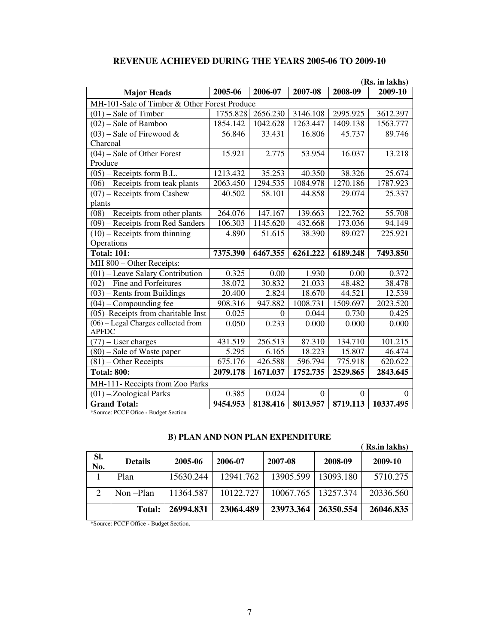|                                              |          |          |          |          | (Rs. in lakhs) |
|----------------------------------------------|----------|----------|----------|----------|----------------|
| <b>Major Heads</b>                           | 2005-06  | 2006-07  | 2007-08  | 2008-09  | 2009-10        |
| MH-101-Sale of Timber & Other Forest Produce |          |          |          |          |                |
| $(01)$ – Sale of Timber                      | 1755.828 | 2656.230 | 3146.108 | 2995.925 | 3612.397       |
| $(02)$ – Sale of Bamboo                      | 1854.142 | 1042.628 | 1263.447 | 1409.138 | 1563.777       |
| $(03)$ – Sale of Firewood &                  | 56.846   | 33.431   | 16.806   | 45.737   | 89.746         |
| Charcoal                                     |          |          |          |          |                |
| $(04)$ – Sale of Other Forest                | 15.921   | 2.775    | 53.954   | 16.037   | 13.218         |
| Produce                                      |          |          |          |          |                |
| $(05)$ – Receipts form B.L.                  | 1213.432 | 35.253   | 40.350   | 38.326   | 25.674         |
| $(06)$ – Receipts from teak plants           | 2063.450 | 1294.535 | 1084.978 | 1270.186 | 1787.923       |
| $(07)$ – Receipts from Cashew                | 40.502   | 58.101   | 44.858   | 29.074   | 25.337         |
| plants                                       |          |          |          |          |                |
| $(08)$ – Receipts from other plants          | 264.076  | 147.167  | 139.663  | 122.762  | 55.708         |
| $(09)$ – Receipts from Red Sanders           | 106.303  | 1145.620 | 432.668  | 173.036  | 94.149         |
| $(10)$ – Receipts from thinning              | 4.890    | 51.615   | 38.390   | 89.027   | 225.921        |
| Operations                                   |          |          |          |          |                |
| <b>Total: 101:</b>                           | 7375.390 | 6467.355 | 6261.222 | 6189.248 | 7493.850       |
| MH 800 - Other Receipts:                     |          |          |          |          |                |
| $(01)$ – Leave Salary Contribution           | 0.325    | 0.00     | 1.930    | 0.00     | 0.372          |
| $(02)$ – Fine and Forfeitures                | 38.072   | 30.832   | 21.033   | 48.482   | 38.478         |
| $(03)$ – Rents from Buildings                | 20.400   | 2.824    | 18.670   | 44.521   | 12.539         |
| $(04)$ – Compounding fee                     | 908.316  | 947.882  | 1008.731 | 1509.697 | 2023.520       |
| (05)–Receipts from charitable Inst           | 0.025    | $\Omega$ | 0.044    | 0.730    | 0.425          |
| $(06)$ – Legal Charges collected from        | 0.050    | 0.233    | 0.000    | 0.000    | 0.000          |
| <b>APFDC</b>                                 |          |          |          |          |                |
| $(77)$ – User charges                        | 431.519  | 256.513  | 87.310   | 134.710  | 101.215        |
| $(80)$ – Sale of Waste paper                 | 5.295    | 6.165    | 18.223   | 15.807   | 46.474         |
| $(81)$ – Other Receipts                      | 675.176  | 426.588  | 596.794  | 775.918  | 620.622        |
| <b>Total: 800:</b>                           | 2079.178 | 1671.037 | 1752.735 | 2529.865 | 2843.645       |
| MH-111- Receipts from Zoo Parks              |          |          |          |          |                |
| $(01)$ -.Zoological Parks                    | 0.385    | 0.024    | $\Omega$ | $\theta$ | 0              |
| <b>Grand Total:</b>                          | 9454.953 | 8138.416 | 8013.957 | 8719.113 | 10337.495      |

# **REVENUE ACHIEVED DURING THE YEARS 2005-06 TO 2009-10**

\*Source: PCCF Ofice **-** Budget Section

# **B) PLAN AND NON PLAN EXPENDITURE**

|                |                |           |           |           |           | (Rs.in lakhs) |
|----------------|----------------|-----------|-----------|-----------|-----------|---------------|
| Sl.<br>No.     | <b>Details</b> | 2005-06   | 2006-07   | 2007-08   | 2008-09   | 2009-10       |
|                | Plan           | 15630.244 | 12941.762 | 13905.599 | 13093.180 | 5710.275      |
| $\overline{2}$ | Non-Plan       | 11364.587 | 10122.727 | 10067.765 | 13257.374 | 20336.560     |
|                | <b>Total:</b>  | 26994.831 | 23064.489 | 23973.364 | 26350.554 | 26046.835     |

\*Source: PCCF Office **-** Budget Section.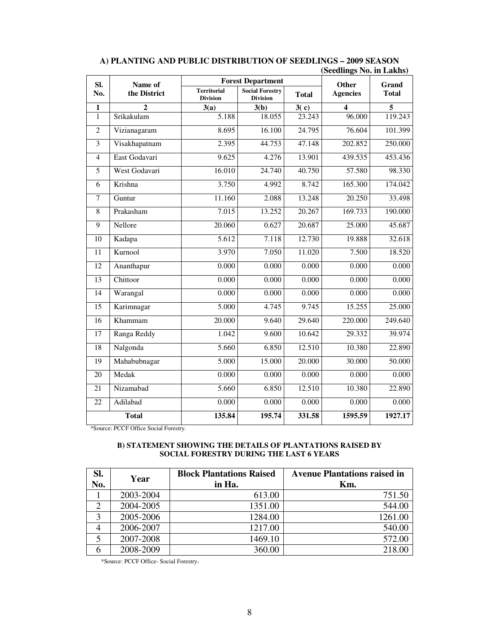| SI.<br>Name of          |               |                                       | <b>Forest Department</b>                  | Other        | Grand           |              |
|-------------------------|---------------|---------------------------------------|-------------------------------------------|--------------|-----------------|--------------|
| No.                     | the District  | <b>Territorial</b><br><b>Division</b> | <b>Social Forestry</b><br><b>Division</b> | <b>Total</b> | <b>Agencies</b> | <b>Total</b> |
| 1                       | $\mathbf{2}$  | 3(a)                                  | 3(b)                                      | 3(c)         | 4               | 5            |
| $\mathbf{1}$            | Srikakulam    | 5.188                                 | 18.055                                    | 23.243       | 96.000          | 119.243      |
| $\overline{2}$          | Vizianagaram  | 8.695                                 | 16.100                                    | 24.795       | 76.604          | 101.399      |
| $\overline{\mathbf{3}}$ | Visakhapatnam | 2.395                                 | 44.753                                    | 47.148       | 202.852         | 250.000      |
| $\overline{4}$          | East Godavari | 9.625                                 | 4.276                                     | 13.901       | 439.535         | 453.436      |
| $\overline{5}$          | West Godavari | 16.010                                | 24.740                                    | 40.750       | 57.580          | 98.330       |
| 6                       | Krishna       | 3.750                                 | 4.992                                     | 8.742        | 165.300         | 174.042      |
| $\overline{7}$          | Guntur        | 11.160                                | 2.088                                     | 13.248       | 20.250          | 33.498       |
| 8                       | Prakasham     | 7.015                                 | 13.252                                    | 20.267       | 169.733         | 190.000      |
| 9                       | Nellore       | 20.060                                | 0.627                                     | 20.687       | 25.000          | 45.687       |
| $\overline{10}$         | Kadapa        | 5.612                                 | 7.118                                     | 12.730       | 19.888          | 32.618       |
| 11                      | Kurnool       | 3.970                                 | 7.050                                     | 11.020       | 7.500           | 18.520       |
| $\overline{12}$         | Ananthapur    | 0.000                                 | 0.000                                     | 0.000        | 0.000           | 0.000        |
| 13                      | Chittoor      | 0.000                                 | 0.000                                     | 0.000        | 0.000           | 0.000        |
| 14                      | Warangal      | 0.000                                 | 0.000                                     | 0.000        | 0.000           | 0.000        |
| 15                      | Karimnagar    | 5.000                                 | 4.745                                     | 9.745        | 15.255          | 25.000       |
| 16                      | Khammam       | 20.000                                | 9.640                                     | 29.640       | 220.000         | 249.640      |
| 17                      | Ranga Reddy   | 1.042                                 | 9.600                                     | 10.642       | 29.332          | 39.974       |
| $\overline{18}$         | Nalgonda      | 5.660                                 | 6.850                                     | 12.510       | 10.380          | 22.890       |
| 19                      | Mahabubnagar  | 5.000                                 | 15.000                                    | 20.000       | 30.000          | 50.000       |
| 20                      | Medak         | 0.000                                 | 0.000                                     | 0.000        | 0.000           | 0.000        |
| $\overline{21}$         | Nizamabad     | 5.660                                 | 6.850                                     | 12.510       | 10.380          | 22.890       |
| 22                      | Adilabad      | 0.000                                 | 0.000                                     | 0.000        | 0.000           | 0.000        |
|                         | <b>Total</b>  | 135.84                                | 195.74                                    | 331.58       | 1595.59         | 1927.17      |

## **A) PLANTING AND PUBLIC DISTRIBUTION OF SEEDLINGS – 2009 SEASON (Seedlings No. in Lakhs)**

\*Source: PCCF Office Social Forestry.

#### **B) STATEMENT SHOWING THE DETAILS OF PLANTATIONS RAISED BY SOCIAL FORESTRY DURING THE LAST 6 YEARS**

| SI.<br>No. | Year      | <b>Block Plantations Raised</b><br>in Ha. | <b>Avenue Plantations raised in</b><br>Km. |
|------------|-----------|-------------------------------------------|--------------------------------------------|
|            | 2003-2004 | 613.00                                    | 751.50                                     |
| ◠          | 2004-2005 | 1351.00                                   | 544.00                                     |
| 3          | 2005-2006 | 1284.00                                   | 1261.00                                    |
| 4          | 2006-2007 | 1217.00                                   | 540.00                                     |
| 5          | 2007-2008 | 1469.10                                   | 572.00                                     |
| 6          | 2008-2009 | 360.00                                    | 218.00                                     |

\*Source: PCCF Office- Social Forestry.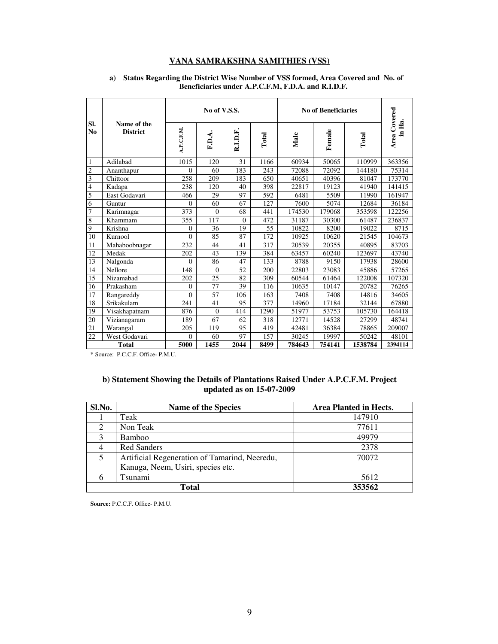## **VANA SAMRAKSHNA SAMITHIES (VSS)**

|                |                                | No of V.S.S.   |              |          | <b>No of Beneficiaries</b> |        |        |         |                        |
|----------------|--------------------------------|----------------|--------------|----------|----------------------------|--------|--------|---------|------------------------|
| SI.<br>No      | Name of the<br><b>District</b> | A.P.C.F.M.     | F.D.A.       | R.I.D.F  | Total                      | Male   | Female | Total   | Area Covered<br>in Ha. |
| 1              | Adilabad                       | 1015           | 120          | 31       | 1166                       | 60934  | 50065  | 110999  | 363356                 |
| $\overline{c}$ | Ananthapur                     | 0              | 60           | 183      | 243                        | 72088  | 72092  | 144180  | 75314                  |
| 3              | Chittoor                       | 258            | 209          | 183      | 650                        | 40651  | 40396  | 81047   | 173770                 |
| 4              | Kadapa                         | 238            | 120          | 40       | 398                        | 22817  | 19123  | 41940   | 141415                 |
| 5              | East Godavari                  | 466            | 29           | 97       | 592                        | 6481   | 5509   | 11990   | 161947                 |
| 6              | Guntur                         | $\overline{0}$ | 60           | 67       | 127                        | 7600   | 5074   | 12684   | 36184                  |
| $\overline{7}$ | Karimnagar                     | 373            | $\mathbf{0}$ | 68       | 441                        | 174530 | 179068 | 353598  | 122256                 |
| 8              | Khammam                        | 355            | 117          | $\Omega$ | 472                        | 31187  | 30300  | 61487   | 236837                 |
| 9              | Krishna                        | $\overline{0}$ | 36           | 19       | 55                         | 10822  | 8200   | 19022   | 8715                   |
| 10             | Kurnool                        | $\theta$       | 85           | 87       | 172                        | 10925  | 10620  | 21545   | 104673                 |
| 11             | Mahaboobnagar                  | 232            | 44           | 41       | 317                        | 20539  | 20355  | 40895   | 83703                  |
| 12             | Medak                          | 202            | 43           | 139      | 384                        | 63457  | 60240  | 123697  | 43740                  |
| 13             | Nalgonda                       | $\theta$       | 86           | 47       | 133                        | 8788   | 9150   | 17938   | 28600                  |
| 14             | Nellore                        | 148            | $\mathbf{0}$ | 52       | 200                        | 22803  | 23083  | 45886   | 57265                  |
| 15             | Nizamabad                      | 202            | 25           | 82       | 309                        | 60544  | 61464  | 122008  | 107320                 |
| 16             | Prakasham                      | $\mathbf{0}$   | 77           | 39       | 116                        | 10635  | 10147  | 20782   | 76265                  |
| 17             | Rangareddy                     | $\theta$       | 57           | 106      | 163                        | 7408   | 7408   | 14816   | 34605                  |
| 18             | Srikakulam                     | 241            | 41           | 95       | 377                        | 14960  | 17184  | 32144   | 67880                  |
| 19             | Visakhapatnam                  | 876            | $\mathbf{0}$ | 414      | 1290                       | 51977  | 53753  | 105730  | 164418                 |
| 20             | Vizianagaram                   | 189            | 67           | 62       | 318                        | 12771  | 14528  | 27299   | 48741                  |
| 21             | Warangal                       | 205            | 119          | 95       | 419                        | 42481  | 36384  | 78865   | 209007                 |
| 22             | West Godavari                  | $\mathbf{0}$   | 60           | 97       | 157                        | 30245  | 19997  | 50242   | 48101                  |
|                | <b>Total</b>                   | 5000           | 1455         | 2044     | 8499                       | 784643 | 754141 | 1538784 | 2394114                |

#### **a) Status Regarding the District Wise Number of VSS formed, Area Covered and No. of Beneficiaries under A.P.C.F.M, F.D.A. and R.I.D.F.**

**\*** Source: P.C.C.F. Office- P.M.U.

#### **b) Statement Showing the Details of Plantations Raised Under A.P.C.F.M. Project updated as on 15-07-2009**

| Sl.No.                      | <b>Name of the Species</b>                    | Area Planted in Hects. |  |  |  |
|-----------------------------|-----------------------------------------------|------------------------|--|--|--|
|                             | Teak                                          | 147910                 |  |  |  |
| $\mathcal{D}_{\mathcal{L}}$ | Non Teak                                      | 77611                  |  |  |  |
| 3                           | Bamboo                                        | 49979                  |  |  |  |
|                             | <b>Red Sanders</b>                            | 2378                   |  |  |  |
|                             | Artificial Regeneration of Tamarind, Neeredu, | 70072                  |  |  |  |
|                             | Kanuga, Neem, Usiri, species etc.             |                        |  |  |  |
| n                           | Tsunami                                       | 5612                   |  |  |  |
|                             | 353562<br><b>Total</b>                        |                        |  |  |  |

**Source:** P.C.C.F. Office- P.M.U.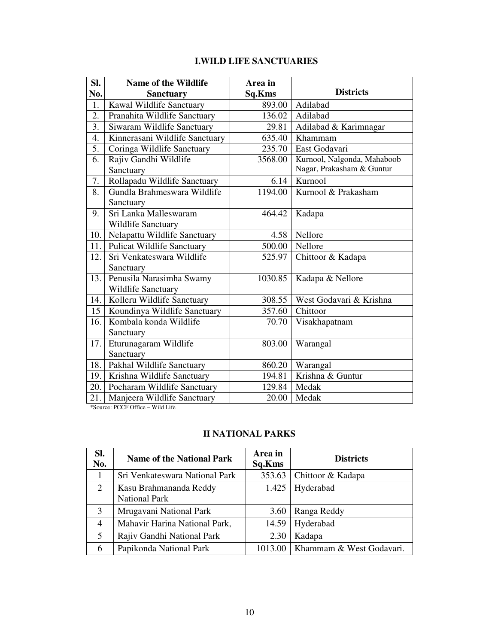# **I.WILD LIFE SANCTUARIES**

| SI.  | <b>Name of the Wildlife</b>       | Area in |                             |
|------|-----------------------------------|---------|-----------------------------|
| No.  | <b>Sanctuary</b>                  | Sq.Kms  | <b>Districts</b>            |
| 1.   | Kawal Wildlife Sanctuary          | 893.00  | Adilabad                    |
| 2.   | Pranahita Wildlife Sanctuary      | 136.02  | Adilabad                    |
| 3.   | Siwaram Wildlife Sanctuary        | 29.81   | Adilabad & Karimnagar       |
| 4.   | Kinnerasani Wildlife Sanctuary    | 635.40  | Khammam                     |
| 5.   | Coringa Wildlife Sanctuary        | 235.70  | East Godavari               |
| 6.   | Rajiv Gandhi Wildlife             | 3568.00 | Kurnool, Nalgonda, Mahaboob |
|      | Sanctuary                         |         | Nagar, Prakasham & Guntur   |
| 7.   | Rollapadu Wildlife Sanctuary      | 6.14    | Kurnool                     |
| 8.   | Gundla Brahmeswara Wildlife       | 1194.00 | Kurnool & Prakasham         |
|      | Sanctuary                         |         |                             |
| 9.   | Sri Lanka Malleswaram             | 464.42  | Kadapa                      |
|      | Wildlife Sanctuary                |         |                             |
| 10.  | Nelapattu Wildlife Sanctuary      | 4.58    | Nellore                     |
| 11.1 | <b>Pulicat Wildlife Sanctuary</b> | 500.00  | Nellore                     |
| 12.  | Sri Venkateswara Wildlife         | 525.97  | Chittoor & Kadapa           |
|      | Sanctuary                         |         |                             |
| 13.  | Penusila Narasimha Swamy          | 1030.85 | Kadapa & Nellore            |
|      | Wildlife Sanctuary                |         |                             |
| 14.  | Kolleru Wildlife Sanctuary        | 308.55  | West Godavari & Krishna     |
| 15   | Koundinya Wildlife Sanctuary      | 357.60  | Chittoor                    |
| 16.  | Kombala konda Wildlife            | 70.70   | Visakhapatnam               |
|      | Sanctuary                         |         |                             |
| 17.  | Eturunagaram Wildlife             | 803.00  | Warangal                    |
|      | Sanctuary                         |         |                             |
| 18.  | Pakhal Wildlife Sanctuary         | 860.20  | Warangal                    |
| 19.  | Krishna Wildlife Sanctuary        | 194.81  | Krishna & Guntur            |
| 20.  | Pocharam Wildlife Sanctuary       | 129.84  | Medak                       |
| 21.  | Manjeera Wildlife Sanctuary       | 20.00   | Medak                       |

\*Source: PCCF Office – Wild Life

# **II NATIONAL PARKS**

| SI.<br>No.     | <b>Name of the National Park</b>               | Area in<br>Sq.Kms | <b>Districts</b>         |
|----------------|------------------------------------------------|-------------------|--------------------------|
| 1              | Sri Venkateswara National Park                 | 353.63            | Chittoor & Kadapa        |
| $\overline{2}$ | Kasu Brahmananda Reddy<br><b>National Park</b> | 1.425             | Hyderabad                |
| 3              | Mrugavani National Park                        | 3.60              | Ranga Reddy              |
| $\overline{4}$ | Mahavir Harina National Park,                  | 14.59             | Hyderabad                |
| 5              | Rajiv Gandhi National Park                     | 2.30              | Kadapa                   |
| 6              | Papikonda National Park                        | 1013.00           | Khammam & West Godavari. |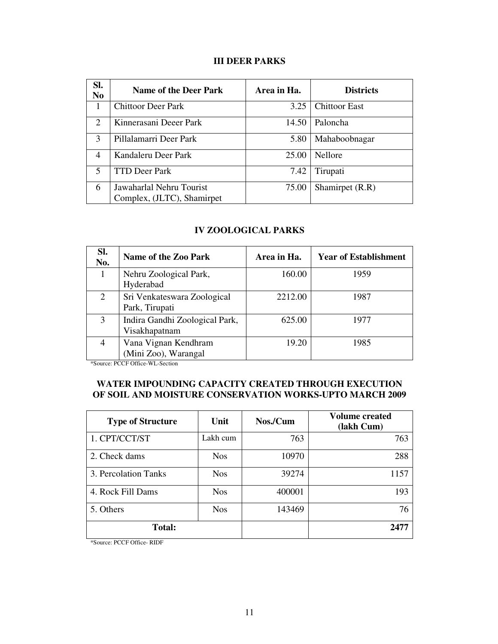# **III DEER PARKS**

| SI.<br>N <sub>0</sub>       | <b>Name of the Deer Park</b> | Area in Ha. | <b>Districts</b>     |
|-----------------------------|------------------------------|-------------|----------------------|
| 1                           | <b>Chittoor Deer Park</b>    | 3.25        | <b>Chittoor East</b> |
| $\mathcal{D}_{\mathcal{L}}$ | Kinnerasani Deeer Park       | 14.50       | Paloncha             |
| 3                           | Pillalamarri Deer Park       | 5.80        | Mahaboobnagar        |
| 4                           | Kandaleru Deer Park          | 25.00       | <b>Nellore</b>       |
| $\overline{\mathbf{5}}$     | <b>TTD Deer Park</b>         | 7.42        | Tirupati             |
| 6                           | Jawaharlal Nehru Tourist     | 75.00       | Shamirpet (R.R)      |
|                             | Complex, (JLTC), Shamirpet   |             |                      |

## **IV ZOOLOGICAL PARKS**

| SI.<br>No. | Name of the Zoo Park                            | Area in Ha. | <b>Year of Establishment</b> |
|------------|-------------------------------------------------|-------------|------------------------------|
| 1          | Nehru Zoological Park,<br>Hyderabad             | 160.00      | 1959                         |
| 2          | Sri Venkateswara Zoological<br>Park, Tirupati   | 2212.00     | 1987                         |
| 3          | Indira Gandhi Zoological Park,<br>Visakhapatnam | 625.00      | 1977                         |
|            | Vana Vignan Kendhram<br>(Mini Zoo), Warangal    | 19.20       | 1985                         |

\*Source: PCCF Office-WL-Section

# **WATER IMPOUNDING CAPACITY CREATED THROUGH EXECUTION OF SOIL AND MOISTURE CONSERVATION WORKS-UPTO MARCH 2009**

| <b>Type of Structure</b> | Unit       | Nos./Cum | <b>Volume created</b><br>(lakh Cum) |
|--------------------------|------------|----------|-------------------------------------|
| 1. CPT/CCT/ST            | Lakh cum   | 763      | 763                                 |
| 2. Check dams            | <b>Nos</b> | 10970    | 288                                 |
| 3. Percolation Tanks     | <b>Nos</b> | 39274    | 1157                                |
| 4. Rock Fill Dams        | <b>Nos</b> | 400001   | 193                                 |
| 5. Others                | <b>Nos</b> | 143469   | 76                                  |
| <b>Total:</b>            |            |          | 2477                                |

\*Source: PCCF Office- RIDF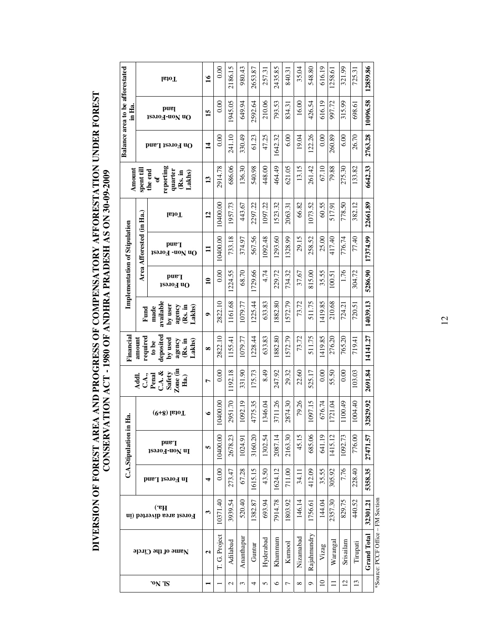DIVERSION OF FOREST AREA AND PROGRESS OF COMPENSATORY AFFORESTATION UNDER FOREST<br>CONSERVATION ACT - 1980 OF ANDHRA PRADESH AS ON 30-09-2009 **DIVERSION OF FOREST AREA AND PROGRESS OF COMPENSATORY AFFORESTATION UNDER FOREST CONSERVATION ACT - 1980 OF ANDHRA PRADESH AS ON 30-09-2009** 

|                                                  |                          | <b>IstoT</b>                                                 | $\overline{16}$ | 0.00                  | 2186.15       | 980.43     | 2653.87 | 257.31    | 2435.85 | 840.31  | 35.04      | 548.80      | 616.19          | 1258.61  | 321.99    | 725.31          | 12859.86           |
|--------------------------------------------------|--------------------------|--------------------------------------------------------------|-----------------|-----------------------|---------------|------------|---------|-----------|---------|---------|------------|-------------|-----------------|----------|-----------|-----------------|--------------------|
| <b>Balance area to be afforestated</b><br>in Ha. |                          | puel<br>0n Non-Forest                                        | 15              | 0.00                  | 1945.05       | 649.94     | 2592.64 | 210.06    | 793.53  | 834.31  | 16.00      | 426.54      | 616.19          | 997.72   | 315.99    | 698.61          | 10096.58           |
|                                                  |                          | On Forest Land                                               | $\overline{14}$ | 0.00                  | 241.10        | 330.49     | 61.23   | 47.25     | 1642.32 | 6.00    | 19.04      | 122.26      | 0.00            | 260.89   | 6.00      | 26.70           | 2763.28            |
| Amount                                           | spent till               | reporting<br>quarter<br>the end<br>(Rs. in<br>Lakhs)<br>ð    | 13              | 2914.78               | 686.06        | 136.30     | 540.98  | 448.00    | 464.49  | 621.05  | 13.15      | 261.42      | 67.10           | 79.88    | 275.30    | 133.82          | 6642.33            |
|                                                  |                          | leioT                                                        | $\mathbf{12}$   | 10400.00              | 1957.73       | 443.67     | 2297.22 | 1097.22   | 1523.32 | 2063.31 | 66.82      | 1073.52     | 60.55           | 517.91   | 778.50    | 382.12          | 22661.89           |
| Implementation of Stipulation                    | Area Afforested (in Ha.) | pue <sup>T</sup><br>On Non-Forest                            | $\mathbf{1}$    | 10400.00              | 733.18        | 374.97     | 567.56  | 1092.48   | 1293.60 | 1328.99 | 29.15      | 258.52      | 25.00           | 417.40   | 776.74    | 77.40           | 17374.99           |
|                                                  |                          | pue q<br><b>Jeorest</b>                                      | $\overline{10}$ | 0.00                  | 1224.55       | 68.70      | 1729.66 | 4.74      | 229.72  | 734.32  | 37.67      | 815.00      | 35.55           | 100.51   | 1.76      | 304.72          | 5286.90            |
|                                                  | Fund                     | available<br>by user<br>agency<br>(Rs. in<br>Lakhs<br>made   | $\bullet$       | 2822.10               | 1161.68       | 1079.77    | 1225.44 | 633.83    | 1882.80 | 1572.79 | 73.72      | 511.75      | 1419.85         | 210.68   | 724.21    | 720.51          | 14039.13           |
| Financial                                        | required<br>amount       | deposited<br>by used<br>agency<br>(Rs. in<br>Lakhs)<br>to be | $\infty$        | 2822.10               | 1155.41       | 1079.77    | 1228.44 | 633.83    | 1882.80 | 1572.79 | 73.72      | 511.75      | 1419.85         | 276.20   | 765.20    | 719.41          | 14141.27           |
|                                                  | C.A.,<br>Addl.           | $\mathbf{Z}$ one (in<br>$CA.$ &<br>Safety<br>Penal<br>Ha.)   | Ļ               | 0.00                  | 1192.18       | 331.90     | 175.73  | 8.49      | 247.92  | 29.32   | 22.60      | 525.17      | 0.00            | 55.50    | 0.00      | 103.03          | 2691.84            |
| Ė                                                |                          | $(9+8)$ latoT                                                | ی               | 00.0040<br>$\breve{}$ | 2951.70       | 1092.19    | 4775.35 | 1346.04   | 3711.26 | 2874.30 | 79.26      | 1097.15     | 676.74          | 1721.04  | 1100.49   | 004.40          | 32829.92           |
| C.A.Stipulation in                               |                          | pue <sup>T</sup><br>1sə.10 <sub>d</sub> -u0N uI              | S               | 10400.00              | 2678.23       | 1024.9     | 3160.20 | 1302.54   | 2087.14 | 2163.30 | 45.15      | 685.06      | 641.19          | 1415.12  | 1092.73   | 776.00          | 27471.57           |
|                                                  |                          | Іп Forest Land                                               | 4               | 0.00                  | 273.47        | 67.28      | 1615.15 | 43.50     | 1624.12 | 711.00  | 34.11      | 412.09      | 35.55           | 305.92   | 7.76      | 228.40          | 5358.35            |
|                                                  |                          | (Ha.)<br>Forest area diverted (in                            | 3               | 10371.40              | 3939.54       | 520.40     | 1382.87 | 693.94    | 7914.78 | 1803.92 | 146.14     | 1756.61     | 144.04          | 2357.30  | 829.75    | 440.52          | 32301.21           |
|                                                  |                          | Name of the Circle                                           | 2               | T. G. Project         | Adilabad      | Ananthapur | Guntur  | Hyderabad | Khammam | Kumool  | Nizamabad  | Rajahmundry | Vizag           | Warangal | Srisailam | Tirupati        | <b>Grand Total</b> |
| 'ON 'IS                                          |                          |                                                              |                 |                       | $\mathcal{L}$ | ξ          | 4       | 5         | $\circ$ | Γ       | $^{\circ}$ | ç           | $\overline{10}$ | Ξ        | 12        | $\overline{13}$ |                    |

12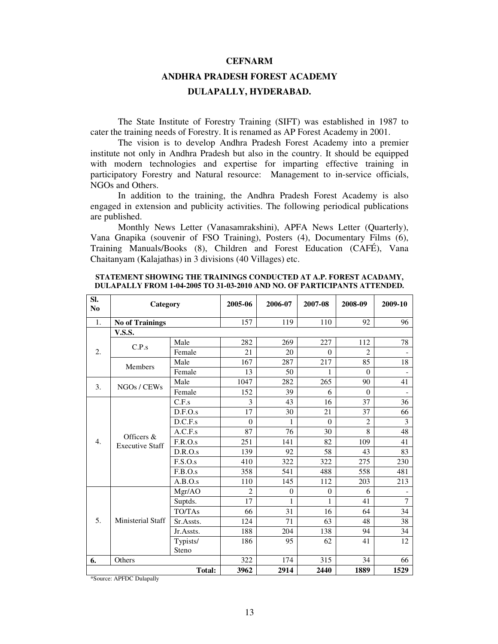#### **CEFNARM**

# **ANDHRA PRADESH FOREST ACADEMY DULAPALLY, HYDERABAD.**

The State Institute of Forestry Training (SIFT) was established in 1987 to cater the training needs of Forestry. It is renamed as AP Forest Academy in 2001.

The vision is to develop Andhra Pradesh Forest Academy into a premier institute not only in Andhra Pradesh but also in the country. It should be equipped with modern technologies and expertise for imparting effective training in participatory Forestry and Natural resource: Management to in-service officials, NGOs and Others.

In addition to the training, the Andhra Pradesh Forest Academy is also engaged in extension and publicity activities. The following periodical publications are published.

Monthly News Letter (Vanasamrakshini), APFA News Letter (Quarterly), Vana Gnapika (souvenir of FSO Training), Posters (4), Documentary Films (6), Training Manuals/Books (8), Children and Forest Education (CAFÉ), Vana Chaitanyam (Kalajathas) in 3 divisions (40 Villages) etc.

| Sl.<br>No        | Category                             |               | 2005-06        | 2006-07        | 2007-08      | 2008-09        | 2009-10                  |
|------------------|--------------------------------------|---------------|----------------|----------------|--------------|----------------|--------------------------|
| 1.               | <b>No of Trainings</b>               |               | 157            | 119            | 110          | 92             | 96                       |
|                  | <b>V.S.S.</b>                        |               |                |                |              |                |                          |
|                  | C.P.s                                | Male          | 282            | 269            | 227          | 112            | 78                       |
| 2.               |                                      | Female        | 21             | 20             | $\Omega$     | $\overline{c}$ |                          |
|                  | <b>Members</b>                       | Male          | 167            | 287            | 217          | 85             | 18                       |
|                  |                                      | Female        | 13             | 50             | 1            | $\Omega$       | $\overline{\phantom{0}}$ |
| 3.               | Male<br>NGOs / CEWs                  |               | 1047           | 282            | 265          | 90             | 41                       |
|                  | Female                               |               | 152            | 39             | 6            | $\Omega$       |                          |
|                  |                                      | C.F.s         | 3              | 43             | 16           | 37             | 36                       |
|                  |                                      | D.F.O.s       | 17             | 30             | 21           | 37             | 66                       |
|                  | Officers &<br><b>Executive Staff</b> | D.C.F.s       | $\Omega$       | 1              | $\Omega$     | $\overline{2}$ | 3                        |
|                  |                                      | A.C.F.s       | 87             | 76             | 30           | 8              | 48                       |
| $\overline{4}$ . |                                      | F.R.O.s       | 251            | 141            | 82           | 109            | 41                       |
|                  |                                      | D.R.O.s       | 139            | 92             | 58           | 43             | 83                       |
|                  |                                      | F.S.O.s       | 410            | 322            | 322          | 275            | 230                      |
|                  |                                      | F.B.O.s       | 358            | 541            | 488          | 558            | 481                      |
|                  |                                      | A.B.O.s       | 110            | 145            | 112          | 203            | 213                      |
|                  |                                      | Mgr/AO        | $\overline{2}$ | $\overline{0}$ | $\mathbf{0}$ | 6              |                          |
|                  |                                      | Suptds.       | 17             | 1              | 1            | 41             | $\overline{7}$           |
|                  |                                      | TO/TAs        | 66             | 31             | 16           | 64             | 34                       |
| 5.               | <b>Ministerial Staff</b>             | Sr.Assts.     | 124            | 71             | 63           | 48             | 38                       |
|                  |                                      | Jr.Assts.     | 188            | 204            | 138          | 94             | 34                       |
|                  |                                      | Typists/      | 186            | 95             | 62           | 41             | 12                       |
|                  |                                      | Steno         |                |                |              |                |                          |
| Others<br>6.     |                                      |               | 322            | 174            | 315          | 34             | 66                       |
|                  |                                      | <b>Total:</b> | 3962           | 2914           | 2440         | 1889           | 1529                     |

**STATEMENT SHOWING THE TRAININGS CONDUCTED AT A.P. FOREST ACADAMY, DULAPALLY FROM 1-04-2005 TO 31-03-2010 AND NO. OF PARTICIPANTS ATTENDED.** 

\*Source: APFDC Dulapally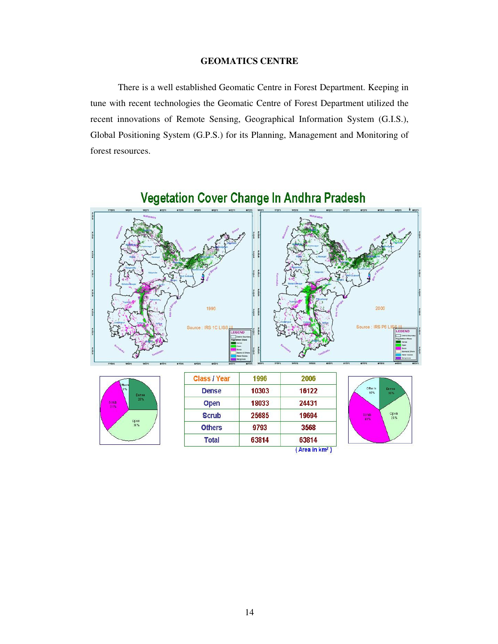#### **GEOMATICS CENTRE**

There is a well established Geomatic Centre in Forest Department. Keeping in tune with recent technologies the Geomatic Centre of Forest Department utilized the recent innovations of Remote Sensing, Geographical Information System (G.I.S.), Global Positioning System (G.P.S.) for its Planning, Management and Monitoring of forest resources.



# Vegetation Cover Change In Andhra Pradesh

| ther<br>5%    |              |
|---------------|--------------|
| Sorub<br>3.1% | Dense<br>25% |
|               | Open<br>38%  |
|               |              |

| <b>Class / Year</b> | 1996  | 2006                       |
|---------------------|-------|----------------------------|
| <b>Dense</b>        | 10303 | 16122                      |
| <b>Open</b>         | 18033 | 24431                      |
| <b>Scrub</b>        | 25685 | 19694                      |
| <b>Others</b>       | 9793  | 3568                       |
| <b>Total</b>        | 63814 | 63814                      |
|                     |       | (Area in km <sup>2</sup> ) |

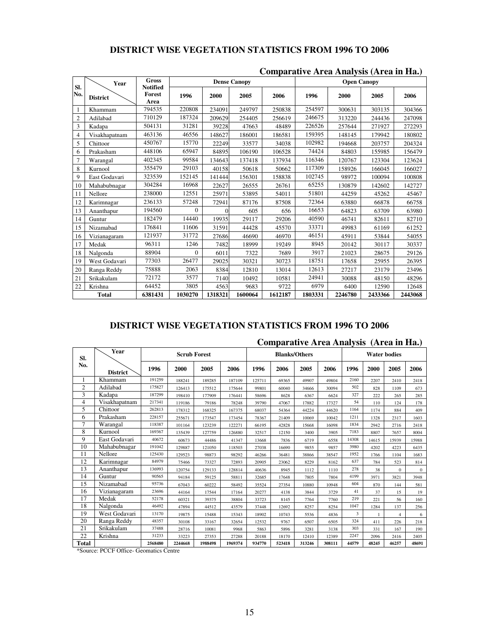# **DISTRICT WISE VEGETATION STATISTICS FROM 1996 TO 2006**

| SI.            | Year            | <b>Gross</b><br><b>Notified</b> |              | <b>Dense Canopy</b> |         |         |         | <b>Open Canopy</b> |         |         |
|----------------|-----------------|---------------------------------|--------------|---------------------|---------|---------|---------|--------------------|---------|---------|
| No.            | <b>District</b> | Forest<br>Area                  | 1996         | 2000                | 2005    | 2006    | 1996    | 2000               | 2005    | 2006    |
|                | Khammam         | 794535                          | 220808       | 234091              | 249797  | 250838  | 254597  | 300631             | 303135  | 304366  |
| $\overline{2}$ | Adilabad        | 710129                          | 187324       | 209629              | 254405  | 256619  | 246675  | 313220             | 244436  | 247098  |
| 3              | Kadapa          | 504131                          | 31281        | 39228               | 47663   | 48489   | 226526  | 257644             | 271927  | 272293  |
| $\overline{4}$ | Visakhapatnam   | 463136                          | 46556        | 148627              | 186001  | 186581  | 159395  | 148145             | 179942  | 180802  |
| 5              | Chittoor        | 450767                          | 15770        | 22249               | 33577   | 34038   | 102982  | 194668             | 203757  | 204324  |
| 6              | Prakasham       | 448106                          | 65947        | 84895               | 106190  | 106528  | 74424   | 84803              | 155985  | 156479  |
| 7              | Warangal        | 402345                          | 99584        | 134643              | 137418  | 137934  | 116346  | 120767             | 123304  | 123624  |
| 8              | Kurnool         | 355479                          | 29103        | 40158               | 50618   | 50662   | 117309  | 158926             | 166045  | 166027  |
| 9              | East Godavari   | 323539                          | 152145       | 141444              | 156301  | 158838  | 102745  | 98972              | 100094  | 100808  |
| 10             | Mahabubnagar    | 304284                          | 16968        | 22627               | 26555   | 26761   | 65255   | 130879             | 142602  | 142727  |
| 11             | Nellore         | 238000                          | 12551        | 25971               | 53895   | 54011   | 51801   | 44259              | 45262   | 45467   |
| 12             | Karimnagar      | 236133                          | 57248        | 72941               | 87176   | 87508   | 72364   | 63880              | 66878   | 66758   |
| 13             | Ananthapur      | 194560                          | $\mathbf{0}$ | $\Omega$            | 605     | 656     | 16653   | 64823              | 63709   | 63980   |
| 14             | Guntur          | 182479                          | 14440        | 19935               | 29117   | 29206   | 40590   | 46741              | 82611   | 82710   |
| 15             | Nizamabad       | 176841                          | 11606        | 31591               | 44428   | 45570   | 33371   | 49983              | 61169   | 61252   |
| 16             | Vizianagaram    | 121937                          | 31772        | 27686               | 46690   | 46970   | 46151   | 45911              | 53844   | 54055   |
| 17             | Medak           | 96311                           | 1246         | 7482                | 18999   | 19249   | 8945    | 20142              | 30117   | 30337   |
| 18             | Nalgonda        | 88904                           | $\Omega$     | 6011                | 7322    | 7689    | 3917    | 21023              | 28675   | 29126   |
| 19             | West Godavari   | 77303                           | 26477        | 29025               | 30321   | 30723   | 18751   | 17658              | 25955   | 26395   |
| 20             | Ranga Reddy     | 75888                           | 2063         | 8384                | 12810   | 13014   | 12613   | 27217              | 23179   | 23496   |
| 21             | Srikakulam      | 72172                           | 3577         | 7140                | 10492   | 10581   | 24941   | 30088              | 48150   | 48296   |
| 22             | Krishna         | 64452                           | 3805         | 4563                | 9683    | 9722    | 6979    | 6400               | 12590   | 12648   |
|                | <b>Total</b>    | 6381431                         | 1030270      | 1318321             | 1600064 | 1612187 | 1803331 | 2246780            | 2433366 | 2443068 |

#### **Comparative Area Analysis (Area in Ha.)**

## **DISTRICT WISE VEGETATION STATISTICS FROM 1996 TO 2006**

|                | Comparative Area Analysis (Area in Ha.) |         |                     |         |         |                      |        |        |        |                     |       |                         |              |
|----------------|-----------------------------------------|---------|---------------------|---------|---------|----------------------|--------|--------|--------|---------------------|-------|-------------------------|--------------|
| SI.            | Year                                    |         | <b>Scrub Forest</b> |         |         | <b>Blanks/Others</b> |        |        |        | <b>Water bodies</b> |       |                         |              |
| No.            | <b>District</b>                         | 1996    | 2000                | 2005    | 2006    | 1996                 | 2006   | 2005   | 2006   | 1996                | 2000  | 2005                    | 2006         |
| 1              | Khammam                                 | 191259  | 188241              | 189285  | 187109  | 125711               | 69365  | 49907  | 49804  | 2160                | 2207  | 2410                    | 2418         |
| $\overline{2}$ | Adilabad                                | 175827  | 126413              | 175512  | 175644  | 99801                | 60040  | 34666  | 30094  | 502                 | 828   | 1109                    | 673          |
| 3              | Kadapa                                  | 187299  | 198410              | 177909  | 176441  | 58696                | 8628   | 6367   | 6624   | 327                 | 222   | 265                     | 285          |
| $\overline{4}$ | Visakhapatnam                           | 217341  | 119186              | 79186   | 78248   | 39790                | 47067  | 17882  | 17327  | 54                  | 110   | 124                     | 178          |
| 5              | Chittoor                                | 262813  | 178312              | 168325  | 167375  | 68037                | 54364  | 44224  | 44620  | 1164                | 1174  | 884                     | 409          |
| 6              | Prakasham                               | 228157  | 255671              | 173547  | 173454  | 78367                | 21409  | 10069  | 10042  | 1211                | 1328  | 2317                    | 1603         |
| 7              | Warangal                                | 118387  | 101164              | 123239  | 122271  | 66195                | 42828  | 15668  | 16098  | 1834                | 2942  | 2716                    | 2418         |
| 8              | Kurnool                                 | 169367  | 135439              | 127759  | 126880  | 32517                | 12150  | 3400   | 3905   | 7183                | 8807  | 7657                    | 8004         |
| 9              | East Godavari                           | 40672   | 60673               | 44486   | 41347   | 13668                | 7836   | 6719   | 6558   | 14308               | 14615 | 15939                   | 15988        |
| 10             | Mahabubnagar                            | 191042  | 129887              | 121050  | 118503  | 27038                | 16690  | 9855   | 9857   | 3980                | 4202  | 4223                    | 6435         |
| 11             | Nellore                                 | 125430  | 129523              | 98873   | 98292   | 46266                | 36481  | 38866  | 38547  | 1952                | 1766  | 1104                    | 1683         |
| 12             | Karimnagar                              | 84979   | 75466               | 73327   | 72893   | 20905                | 23062  | 8229   | 8162   | 637                 | 784   | 523                     | 814          |
| 13             | Ananthapur                              | 136993  | 120754              | 129133  | 128814  | 40636                | 8945   | 1112   | 1110   | 278                 | 38    | $\Omega$                | $\mathbf{0}$ |
| 14             | Guntur                                  | 90565   | 94184               | 59125   | 58811   | 32685                | 17648  | 7805   | 7804   | 4199                | 3971  | 3821                    | 3948         |
| 15             | Nizamabad                               | 95736   | 67043               | 60222   | 58492   | 35524                | 27354  | 10880  | 10948  | 604                 | 870   | 144                     | 581          |
| 16             | Vizianagaram                            | 23696   | 44164               | 17544   | 17164   | 20277                | 4138   | 3844   | 3729   | 41                  | 37    | 15                      | 19           |
| 17             | Medak                                   | 52178   | 60321               | 39375   | 38804   | 33723                | 8145   | 7764   | 7760   | 219                 | 221   | 56                      | 160          |
| 18             | Nalgonda                                | 46492   | 47894               | 44512   | 43579   | 37448                | 12692  | 8257   | 8254   | 1047                | 1284  | 137                     | 256          |
| 19             | West Godavari                           | 13170   | 19875               | 15488   | 15343   | 18902                | 10743  | 5536   | 4836   | 3                   |       | $\overline{\mathbf{4}}$ | 6            |
| 20             | Ranga Reddy                             | 48357   | 30108               | 33167   | 32654   | 12532                | 9767   | 6507   | 6505   | 324                 | 411   | 226                     | 218          |
| 21             | Srikakulam                              | 37488   | 28716               | 10081   | 9968    | 5863                 | 5896   | 3281   | 3138   | 303                 | 331   | 167                     | 190          |
| 22             | Krishna                                 | 31233   | 33223               | 27353   | 27288   | 20188                | 18170  | 12410  | 12389  | 2247                | 2096  | 2416                    | 2405         |
| <b>Total</b>   |                                         | 2568480 | 2244668             | 1988498 | 1969374 | 934770               | 523418 | 313246 | 308111 | 44579               | 48245 | 46257                   | 48691        |

# **Comparative Area Analysis (Area in Ha.)**

\*Source: PCCF Office- Geomatics Centre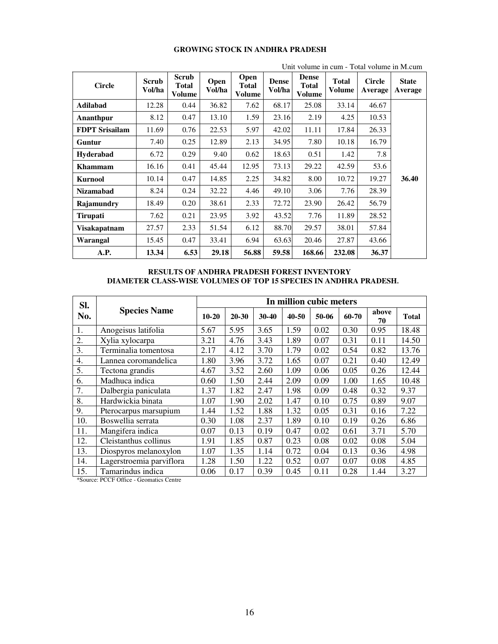| Unit volume in cum - Total volume in M.cum |                        |                                        |                       |                                |                        |                                               |                        |                          |                         |
|--------------------------------------------|------------------------|----------------------------------------|-----------------------|--------------------------------|------------------------|-----------------------------------------------|------------------------|--------------------------|-------------------------|
| <b>Circle</b>                              | <b>Scrub</b><br>Vol/ha | <b>Scrub</b><br><b>Total</b><br>Volume | <b>Open</b><br>Vol/ha | Open<br><b>Total</b><br>Volume | <b>Dense</b><br>Vol/ha | <b>Dense</b><br><b>Total</b><br><b>Volume</b> | <b>Total</b><br>Volume | <b>Circle</b><br>Average | <b>State</b><br>Average |
| <b>Adilabad</b>                            | 12.28                  | 0.44                                   | 36.82                 | 7.62                           | 68.17                  | 25.08                                         | 33.14                  | 46.67                    |                         |
| Ananthpur                                  | 8.12                   | 0.47                                   | 13.10                 | 1.59                           | 23.16                  | 2.19                                          | 4.25                   | 10.53                    |                         |
| <b>FDPT Srisailam</b>                      | 11.69                  | 0.76                                   | 22.53                 | 5.97                           | 42.02                  | 11.11                                         | 17.84                  | 26.33                    |                         |
| Guntur                                     | 7.40                   | 0.25                                   | 12.89                 | 2.13                           | 34.95                  | 7.80                                          | 10.18                  | 16.79                    |                         |
| <b>Hyderabad</b>                           | 6.72                   | 0.29                                   | 9.40                  | 0.62                           | 18.63                  | 0.51                                          | 1.42                   | 7.8                      |                         |
| <b>Khammam</b>                             | 16.16                  | 0.41                                   | 45.44                 | 12.95                          | 73.13                  | 29.22                                         | 42.59                  | 53.6                     |                         |
| <b>Kurnool</b>                             | 10.14                  | 0.47                                   | 14.85                 | 2.25                           | 34.82                  | 8.00                                          | 10.72                  | 19.27                    | 36.40                   |
| <b>Nizamabad</b>                           | 8.24                   | 0.24                                   | 32.22                 | 4.46                           | 49.10                  | 3.06                                          | 7.76                   | 28.39                    |                         |
| Rajamundry                                 | 18.49                  | 0.20                                   | 38.61                 | 2.33                           | 72.72                  | 23.90                                         | 26.42                  | 56.79                    |                         |
| <b>Tirupati</b>                            | 7.62                   | 0.21                                   | 23.95                 | 3.92                           | 43.52                  | 7.76                                          | 11.89                  | 28.52                    |                         |
| Visakapatnam                               | 27.57                  | 2.33                                   | 51.54                 | 6.12                           | 88.70                  | 29.57                                         | 38.01                  | 57.84                    |                         |
| Warangal                                   | 15.45                  | 0.47                                   | 33.41                 | 6.94                           | 63.63                  | 20.46                                         | 27.87                  | 43.66                    |                         |
| A.P.                                       | 13.34                  | 6.53                                   | 29.18                 | 56.88                          | 59.58                  | 168.66                                        | 232.08                 | 36.37                    |                         |

#### **GROWING STOCK IN ANDHRA PRADESH**

#### **RESULTS OF ANDHRA PRADESH FOREST INVENTORY DIAMETER CLASS-WISE VOLUMES OF TOP 15 SPECIES IN ANDHRA PRADESH.**

| SI. |                          | In million cubic meters |           |           |       |       |       |             |              |  |  |  |
|-----|--------------------------|-------------------------|-----------|-----------|-------|-------|-------|-------------|--------------|--|--|--|
| No. | <b>Species Name</b>      | $10-20$                 | $20 - 30$ | $30 - 40$ | 40-50 | 50-06 | 60-70 | above<br>70 | <b>Total</b> |  |  |  |
| 1.  | Anogeisus latifolia      | 5.67                    | 5.95      | 3.65      | 1.59  | 0.02  | 0.30  | 0.95        | 18.48        |  |  |  |
| 2.  | Xylia xylocarpa          | 3.21                    | 4.76      | 3.43      | 1.89  | 0.07  | 0.31  | 0.11        | 14.50        |  |  |  |
| 3.  | Terminalia tomentosa     | 2.17                    | 4.12      | 3.70      | 1.79  | 0.02  | 0.54  | 0.82        | 13.76        |  |  |  |
| 4.  | Lannea coromandelica     | 1.80                    | 3.96      | 3.72      | 1.65  | 0.07  | 0.21  | 0.40        | 12.49        |  |  |  |
| 5.  | Tectona grandis          | 4.67                    | 3.52      | 2.60      | 1.09  | 0.06  | 0.05  | 0.26        | 12.44        |  |  |  |
| 6.  | Madhuca indica           | 0.60                    | 1.50      | 2.44      | 2.09  | 0.09  | 1.00  | 1.65        | 10.48        |  |  |  |
| 7.  | Dalbergia paniculata     | 1.37                    | 1.82      | 2.47      | 1.98  | 0.09  | 0.48  | 0.32        | 9.37         |  |  |  |
| 8.  | Hardwickia binata        | 1.07                    | 1.90      | 2.02      | 1.47  | 0.10  | 0.75  | 0.89        | 9.07         |  |  |  |
| 9.  | Pterocarpus marsupium    | 1.44                    | 1.52      | 1.88      | 1.32  | 0.05  | 0.31  | 0.16        | 7.22         |  |  |  |
| 10. | Boswellia serrata        | 0.30                    | 1.08      | 2.37      | 1.89  | 0.10  | 0.19  | 0.26        | 6.86         |  |  |  |
| 11. | Mangifera indica         | 0.07                    | 0.13      | 0.19      | 0.47  | 0.02  | 0.61  | 3.71        | 5.70         |  |  |  |
| 12. | Cleistanthus collinus    | 1.91                    | 1.85      | 0.87      | 0.23  | 0.08  | 0.02  | 0.08        | 5.04         |  |  |  |
| 13. | Diospyros melanoxylon    | 1.07                    | 1.35      | 1.14      | 0.72  | 0.04  | 0.13  | 0.36        | 4.98         |  |  |  |
| 14. | Lagerstroemia parviflora | 1.28                    | 1.50      | 1.22      | 0.52  | 0.07  | 0.07  | 0.08        | 4.85         |  |  |  |
| 15. | Tamarindus indica        | 0.06                    | 0.17      | 0.39      | 0.45  | 0.11  | 0.28  | 1.44        | 3.27         |  |  |  |

\*Source: PCCF Office - Geomatics Centre